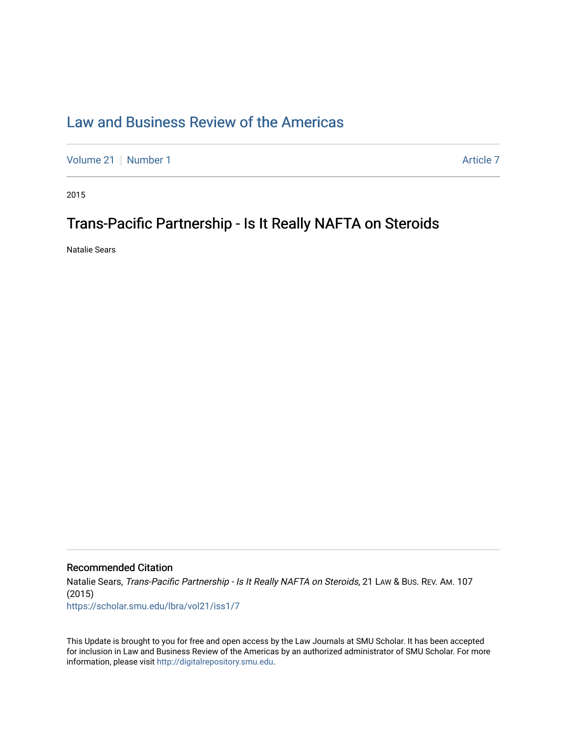## [Law and Business Review of the Americas](https://scholar.smu.edu/lbra)

[Volume 21](https://scholar.smu.edu/lbra/vol21) [Number 1](https://scholar.smu.edu/lbra/vol21/iss1) Article 7

2015

## Trans-Pacific Partnership - Is It Really NAFTA on Steroids

Natalie Sears

## Recommended Citation

Natalie Sears, Trans-Pacific Partnership - Is It Really NAFTA on Steroids, 21 LAW & Bus. REV. AM. 107 (2015) [https://scholar.smu.edu/lbra/vol21/iss1/7](https://scholar.smu.edu/lbra/vol21/iss1/7?utm_source=scholar.smu.edu%2Flbra%2Fvol21%2Fiss1%2F7&utm_medium=PDF&utm_campaign=PDFCoverPages) 

This Update is brought to you for free and open access by the Law Journals at SMU Scholar. It has been accepted for inclusion in Law and Business Review of the Americas by an authorized administrator of SMU Scholar. For more information, please visit [http://digitalrepository.smu.edu](http://digitalrepository.smu.edu/).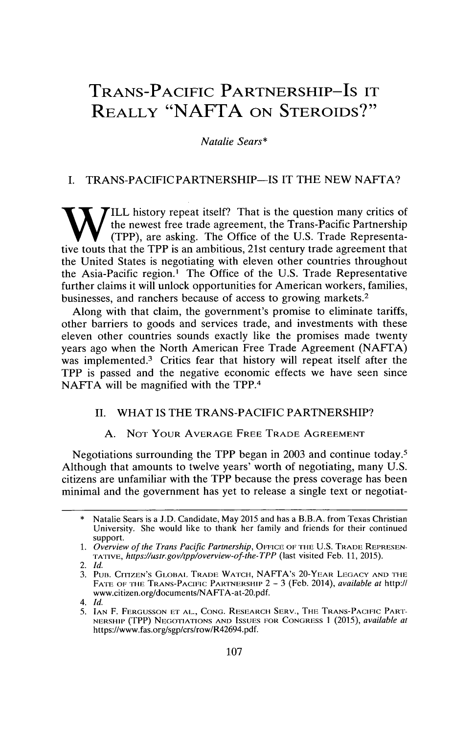# **TRANS-PACIFIC** PARTNERSHIP-IS IT **REALLY "NAFTA ON STEROIDS?"**

*Natalie Sears\**

## *I.* TRANS-PACIFIC PARTNERSHIP-IS IT THE NEW NAFTA?

**TILL** history repeat itself? That is the question many critics of the newest free trade agreement, the Trans-Pacific Partnership (TPP), are asking. The Office of the U.S. Trade Representative touts that the TPP is an ambitious, 21st century trade agreement that the United States is negotiating with eleven other countries throughout the Asia-Pacific region.' The Office of the U.S. Trade Representative further claims it will unlock opportunities for American workers, families, businesses, and ranchers because of access to growing markets.<sup>2</sup>

Along with that claim, the government's promise to eliminate tariffs, other barriers to goods and services trade, and investments with these eleven other countries sounds exactly like the promises made twenty years ago when the North American Free Trade Agreement (NAFTA) was implemented.<sup>3</sup> Critics fear that history will repeat itself after the TPP is passed and the negative economic effects we have seen since NAFTA will be magnified with the TPP.<sup>4</sup>

## II. WHAT IS THE TRANS-PACIFIC PARTNERSHIP?

### A. NOT YOUR AVERAGE FREE TRADE AGREEMENT

Negotiations surrounding the TPP began in 2003 and continue today.<sup>5</sup> Although that amounts to twelve years' worth of negotiating, many U.S. citizens are unfamiliar with the TPP because the press coverage has been minimal and the government has yet to release a single text or negotiat-

Natalie Sears is a J.D. Candidate, May 2015 and has a B.B.A. from Texas Christian University. She would like to thank her family and friends for their continued support.

<sup>1.</sup> *Overview of the Trans Pacific Partnership*, OFFICE OF THE U.S. TRADE REPRESEN-*TATIVE, https.//ustr.gov/tpp/overview-of-the-TPP* (last visited Feb. 11, 2015).

<sup>2.</sup> *Id.*

<sup>3.</sup> PUB. CITIZEN'S GLOBAL TRADE WATCH, NAFTA's 20-YEAR LEGACY AND THE **FATE** OF **THE TRANS-PACIFIC** PARTNERSHIP 2 - 3 (Feb. 2014), *available at* http:// www.citizen.org/documents/NAFTA-at-20.pdf.

*<sup>4.</sup> Id.*

<sup>5.</sup> **IAN** F. **FERGUSSON** ET **AL., CONG.** RESEARCH SERV., **THE,** TRANS-PACIFIC PART-**NERSHIP (TPP) NEGOTIATIONS AND ISSUES FOR CONGRESS 1 (2015),** *available at* https://www.fas.org/sgp/crs/row/R42694.pdf.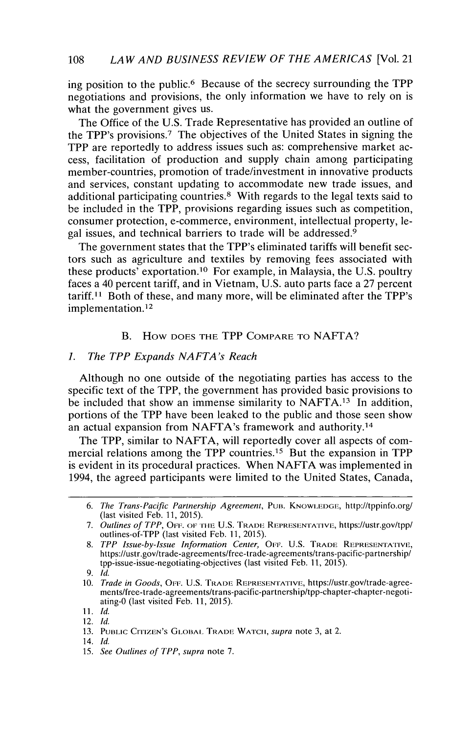ing position to the public.<sup>6</sup> Because of the secrecy surrounding the TPP negotiations and provisions, the only information we have to rely on is what the government gives us.

The Office of the U.S. Trade Representative has provided an outline of the TPP's provisions.<sup>7</sup> The objectives of the United States in signing the TPP are reportedly to address issues such as: comprehensive market access, facilitation of production and supply chain among participating member-countries, promotion of trade/investment in innovative products and services, constant updating to accommodate new trade issues, and additional participating countries.<sup>8</sup> With regards to the legal texts said to be included in the TPP, provisions regarding issues such as competition, consumer protection, e-commerce, environment, intellectual property, legal issues, and technical barriers to trade will be addressed.<sup>9</sup>

The government states that the TPP's eliminated tariffs will benefit sectors such as agriculture and textiles by removing fees associated with these products' exportation.<sup>10</sup> For example, in Malaysia, the U.S. poultry faces a 40 percent tariff, and in Vietnam, U.S. auto parts face a 27 percent  $\ar{iff.11}$  Both of these, and many more, will be eliminated after the TPP's implementation. <sup>12</sup>

### B. How **DOES** THE TPP COMPARE TO NAFTA?

#### *1. The TPP Expands NAFTA's Reach*

Although no one outside of the negotiating parties has access to the specific text of the TPP, the government has provided basic provisions to be included that show an immense similarity to  $NAFTA<sup>13</sup>$  In addition, portions of the TPP have been leaked to the public and those seen show an actual expansion from NAFTA's framework and authority. <sup>14</sup>

The TPP, similar to NAFTA, will reportedly cover all aspects of commercial relations among the TPP countries.<sup>15</sup> But the expansion in TPP is evident in its procedural practices. When NAFTA was implemented in 1994, the agreed participants were limited to the United States, Canada,

<sup>6.</sup> The Trans-Pacific Partnership Agreement, PUB. KNOWLEDGE, http://tppinfo.org/ (last visited Feb. 11, 2015).

<sup>7.</sup> Outlines of TPP, OFF. OF THE U.S. TRADE REPRESENTATIVE, https://ustr.gov/tpp/ outlines-of-TPP (last visited Feb. 11, 2015).

<sup>8.</sup> TPP Issue-by-Issue Information Center, OFF. U.S. TRADE REPRESENTATIVE, https://ustr.gov/trade-agreements/free-trade-agreements/trans-pacific-partnership/ tpp-issue-issue-negotiating-objectives (last visited Feb. **11,** 2015).

**<sup>9.</sup>** *Id.*

<sup>10.</sup> *Trade in Goods*, OFF. U.S. TRADE REPRESENTATIVE, https://ustr.gov/trade-agreements/free-trade-agreements/trans-pacific-partnership/tpp-chapter-chapter-negotiating-0 (last visited Feb. 11, 2015).

<sup>11.</sup> *Id.*

<sup>12.</sup> *Id.*

<sup>13.</sup> PUBLIC CITIZEN'S GLOBAL TRADE WATCH, *supra* note 3, at 2.

<sup>14.</sup> *Id.*

<sup>15.</sup> *See Outlines of TPP, supra* note 7.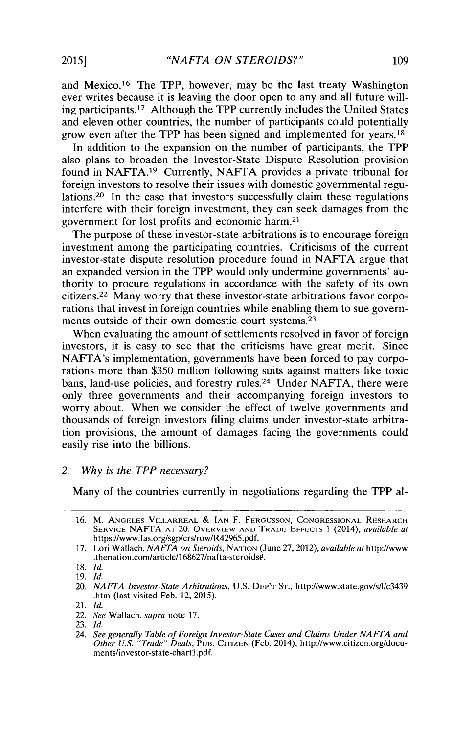and Mexico.<sup>16</sup> The TPP, however, may be the last treaty Washington ever writes because it is leaving the door open to any and all future willing participants.<sup>17</sup> Although the TPP currently includes the United States and eleven other countries, the number of participants could potentially grow even after the TPP has been signed and implemented for years.<sup>18</sup>

In addition to the expansion on the number of participants, the TPP also plans to broaden the Investor-State Dispute Resolution provision found in NAFTA.<sup>19</sup> Currently, NAFTA provides a private tribunal for foreign investors to resolve their issues with domestic governmental regulations.20 In the case that investors successfully claim these regulations interfere with their foreign investment, they can seek damages from the government for lost profits and economic harm. <sup>21</sup>

The purpose of these investor-state arbitrations is to encourage foreign investment among the participating countries. Criticisms of the current investor-state dispute resolution procedure found in NAFTA argue that an expanded version in the TPP would only undermine governments' authority to procure regulations in accordance with the safety of its own citizens.<sup>22</sup> Many worry that these investor-state arbitrations favor corporations that invest in foreign countries while enabling them to sue governments outside of their own domestic court systems.<sup>23</sup>

When evaluating the amount of settlements resolved in favor of foreign investors, it is easy to see that the criticisms have great merit. Since NAFTA's implementation, governments have been forced to pay corporations more than \$350 million following suits against matters like toxic bans, land-use policies, and forestry rules.24 Under NAFTA, there were only three governments and their accompanying foreign investors to worry about. When we consider the effect of twelve governments and thousands of foreign investors filing claims under investor-state arbitration provisions, the amount of damages facing the governments could easily rise into the billions.

#### *2. Why is the TPP necessary?*

Many of the countries currently in negotiations regarding the TPP al-

<sup>16.</sup> M. **ANGELES** VILLARREAL & **IAN** F. **FERGUSSON, CONGRESSIONAL RESEARCH** SERVICE NAFTA AT 20: OVERVIEW AND TRADE EFFECTS 1 (2014), *available at* https://www.fas.org/sgp/crs/row/R42965.pdf.

<sup>17.</sup> Lori Wallach, *NAFTA on Steroids,* NATION (June 27,2012), *available at* http://www .thenation.com/article/168627/nafta-steroids#.

<sup>18.</sup> *Id.*

<sup>19.</sup> *Id.*

<sup>20.</sup> *NAFTA Investor-State Arbitrations,* U.S. DEP'T STr., http://www.state.gov/s/l/c3439 .htm (last visited Feb. 12, 2015).

<sup>21.</sup> *Id.*

<sup>22.</sup> *See* Wallach, supra note 17.

<sup>23.</sup> *Id.*

<sup>24.</sup> *See generally Table of Foreign Investor-State Cases and Claims Under NA FTA and Other U.S. "Trade" Deals, PUB. CITIZEN (Feb. 2014), http://www.citizen.org/docu* ments/investor-state-chartl.pdf.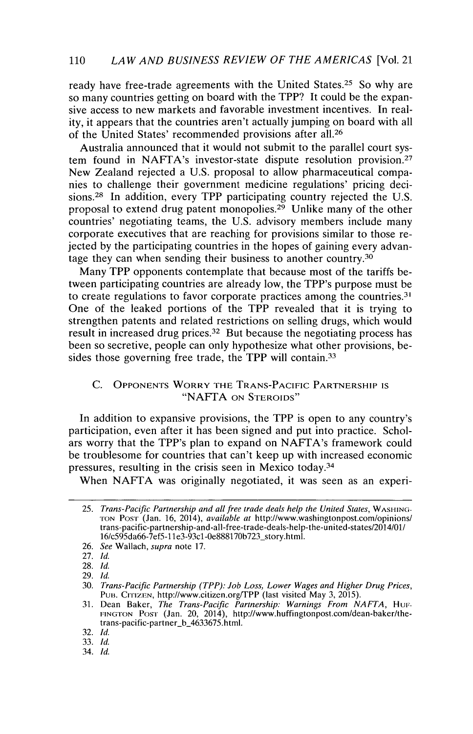## 110 *LAW AND BUSINESS REVIEW OF THE AMERICAS* [Vol. 21

ready have free-trade agreements with the United States.<sup>25</sup> So why are so many countries getting on board with the TPP? It could be the expansive access to new markets and favorable investment incentives. In reality, it appears that the countries aren't actually jumping on board with all of the United States' recommended provisions after all.<sup>26</sup>

Australia announced that it would not submit to the parallel court system found in NAFTA's investor-state dispute resolution provision.<sup>27</sup> New Zealand rejected a U.S. proposal to allow pharmaceutical companies to challenge their government medicine regulations' pricing decisions.<sup>28</sup> In addition, every TPP participating country rejected the U.S. proposal to extend drug patent monopolies.<sup>29</sup> Unlike many of the other countries' negotiating teams, the U.S. advisory members include many corporate executives that are reaching for provisions similar to those rejected by the participating countries in the hopes of gaining every advantage they can when sending their business to another country.<sup>30</sup>

Many TPP opponents contemplate that because most of the tariffs between participating countries are already low, the TPP's purpose must be to create regulations to favor corporate practices among the countries.<sup>31</sup> One of the leaked portions of the TPP revealed that it is trying to strengthen patents and related restrictions on selling drugs, which would result in increased drug prices.<sup>32</sup> But because the negotiating process has been so secretive, people can only hypothesize what other provisions, besides those governing free trade, the TPP will contain.<sup>33</sup>

## C. **OPPONENTS** WORRY THE **TRANS-PACIFIC** PARTNERSHIP **IS** "NAFTA **ON** STEROIDS"

In addition to expansive provisions, the TPP is open to any country's participation, even after it has been signed and put into practice. Scholars worry that the TPP's plan to expand on NAFTA's framework could be troublesome for countries that can't keep up with increased economic pressures, resulting in the crisis seen in Mexico today.<sup>34</sup>

When NAFTA was originally negotiated, it was seen as an experi-

<sup>25.</sup> *Trans-Pacific Partnership and all free trade deals help the United States, WASHING-***TON** PosTr (Jan. 16, 2014), *available at* http://www.washingtonpost.com/opinions/ trans-pacific-partnership-and-alI-free-trade-deals-help-the-united-states/2014/01/ 16/c595da66-7ef5-1 **1** e3-93cl-0e888170b723\_story.html.

<sup>26.</sup> *See* Wallach, *supra* note 17.

<sup>27.</sup> *Id.*

**<sup>28.</sup>** *Id.*

**<sup>29.</sup>** *Id.*

**<sup>30.</sup>** *Trans-Pacific Partnership (TPP): Job Loss, Lower Wages and Higher Drug Prices,* PUB. CITIZEN, http://www.citizen.org/TPP (last visited May 3, 2015).

**<sup>31.</sup>** Dean Baker, *The Trans-Pacific Partnership: Warnings From NAFTA, Hui-*FING TON PosT (Jan. 20, 2014), http://www.huffingtonpost.com/dean-baker/thetrans-pacific-partner-b 4633675.html.

**<sup>32.</sup>** *Id.*

**<sup>33.</sup>** *Id.*

<sup>34.</sup> *Id.*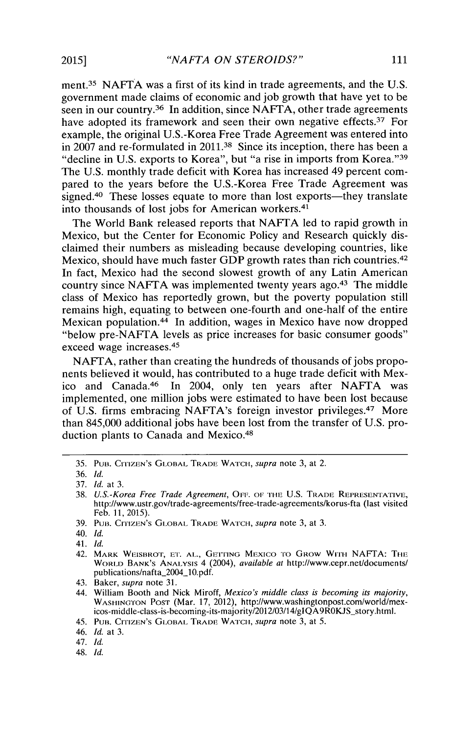ment.<sup>35</sup> NAFTA was a first of its kind in trade agreements, and the U.S. government made claims of economic and job growth that have yet to be seen in our country.<sup>36</sup> In addition, since NAFTA, other trade agreements have adopted its framework and seen their own negative effects.<sup>37</sup> For example, the original U.S.-Korea Free Trade Agreement was entered into in 2007 and re-formulated in 2011.38 Since its inception, there has been a "decline in U.S. exports to Korea", but "a rise in imports from Korea."<sup>39</sup> The U.S. monthly trade deficit with Korea has increased 49 percent compared to the years before the U.S.-Korea Free Trade Agreement was signed.<sup>40</sup> These losses equate to more than lost exports—they translate into thousands of lost jobs for American workers. $41$ 

The World Bank released reports that NAFTA led to rapid growth in Mexico, but the Center for Economic Policy and Research quickly disclaimed their numbers as misleading because developing countries, like Mexico, should have much faster GDP growth rates than rich countries.<sup>42</sup> In fact, Mexico had the second slowest growth of any Latin American country since NAFTA was implemented twenty years ago. $43$  The middle class of Mexico has reportedly grown, but the poverty population still remains high, equating to between one-fourth and one-half of the entire Mexican population.<sup>44</sup> In addition, wages in Mexico have now dropped "below pre-NAFTA levels as price increases for basic consumer goods" exceed wage increases. <sup>45</sup>

NAFTA, rather than creating the hundreds of thousands of jobs proponents believed it would, has contributed to a huge trade deficit with Mexico and Canada.<sup>46</sup> In 2004, only ten years after NAFTA was implemented, one million jobs were estimated to have been lost because of U.S. firms embracing NAFTA's foreign investor privileges.<sup>47</sup> More than 845,000 additional jobs have been lost from the transfer of U.S. production plants to Canada and Mexico.<sup>48</sup>

45. PUB. CITIZEN'S GLOBAL TRADE WATCH, *supra* note 3, at 5.

48. *Id.*

<sup>35.</sup> **PUB. CITIZEN'S** GLOBAL TRADE WATCH, *supra* note 3, at 2.

<sup>36.</sup> *Id.*

<sup>37.</sup> *Id.* at 3.

<sup>38.</sup> *U.S.-Korea Free Trade Agreement,* OFF. OF **THE** U.S. TRADE REPRESEN1ATIVE, http://www.ustr.gov/trade-agreements/free-trade-agreements/korus-fta (last visited Feb. 11, 2015).

<sup>39.</sup> PUB. CrITZEN'S GLOBAL TRADE WATCH, *supra* note 3, at 3.

<sup>40.</sup> *Id.*

<sup>41.</sup> *Id.*

<sup>42.</sup> MARK WEISBROT, ET. AL., GETTING MEXICO TO GROW WITH NAFTA: THE WORLD BANK'S ANALYSIS 4 (2004), *available at* http://www.cepr.net/documents/ publications/nafta\_2004\_10.pdf.

<sup>43.</sup> Baker, *supra* note 31.

<sup>44.</sup> William Booth and Nick Miroff, *Mexico's middle class is becoming its majority,* WASHINGTON POST (Mar. 17, 2012), http://www.washingtonpost.com/world/mexicos-middle-class-is-becoming-its-majority/2012/03/14/gIQA9ROKJS-story.htmi.

<sup>46.</sup> *Id.* at 3.

<sup>47.</sup> *Id.*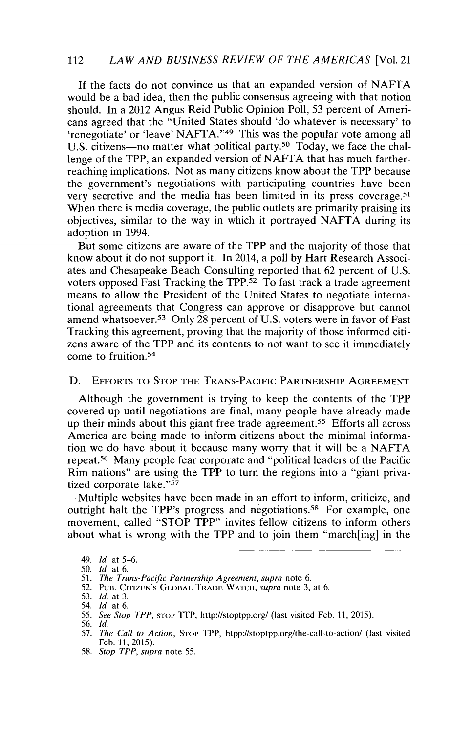## 112 *LAW AND BUSINESS REVIEW OF THE AMERICAS* [Vol. 21

If the facts do not convince us that an expanded version of NAFTA would be a bad idea, then the public consensus agreeing with that notion should. In a 2012 Angus Reid Public Opinion Poll, 53 percent of Americans agreed that the "United States should 'do whatever is necessary' to 'renegotiate' or 'leave' NAFTA. '49 This was the popular vote among all U.S. citizens-no matter what political party.<sup>50</sup> Today, we face the challenge of the TPP, an expanded version of NAFTA that has much fartherreaching implications. Not as many citizens know about the TPP because the government's negotiations with participating countries have been very secretive and the media has been limited in its press coverage.<sup>51</sup> When there is media coverage, the public outlets are primarily praising its objectives, similar to the way in which it portrayed NAFTA during its adoption in 1994.

But some citizens are aware of the TPP and the majority of those that know about it do not support it. In 2014, a poll by Hart Research Associates and Chesapeake Beach Consulting reported that 62 percent of U.S. voters opposed Fast Tracking the TPP.<sup>52</sup> To fast track a trade agreement means to allow the President of the United States to negotiate international agreements that Congress can approve or disapprove but cannot amend whatsoever.<sup>53</sup> Only 28 percent of U.S. voters were in favor of Fast Tracking this agreement, proving that the majority of those informed citizens aware of the TPP and its contents to not want to see it immediately come to fruition.<sup>54</sup>

#### **D.** EFFORTS TO STOP THE TRANS-PACIFIC PARTNERSHIP AGREEMENT

Although the government is trying to keep the contents of the TPP covered up until negotiations are final, many people have already made up their minds about this giant free trade agreement.<sup>55</sup> Efforts all across America are being made to inform citizens about the minimal information we do have about it because many worry that it will be a **NAFTA** repeat.<sup>56</sup> Many people fear corporate and "political leaders of the Pacific Rim nations" are using the TPP to turn the regions into a "giant privatized corporate lake."57

Multiple websites have been made in an effort to inform, criticize, and outright halt the TPP's progress and negotiations.<sup>58</sup> For example, one movement, called "STOP TPP" invites fellow citizens to inform others about what is wrong with the TPP and to join them "march[ing] in the

<sup>49.</sup> *Id.* at 5-6.

<sup>50.</sup> *Id.* at 6.

<sup>51.</sup> *The Trans-Pacific Partnership Agreement, supra* note 6.

<sup>52.</sup> PuB. CITIZEN's G1 **OBAi** TRADE WATCH, *supra* note 3, at 6.

<sup>53.</sup> **Id.** at 3.

<sup>54.</sup> Id. at 6.

<sup>55.</sup> See Stop TPP, srop TTP, http://stoptpp.org/ (last visited Feb. 11, 2015).

<sup>56.</sup> Id.

<sup>57.</sup> *The Call to Action, Stop TPP, htpp://stoptpp.org/the-call-to-action/ (last visited*) Feb. 11, 2015).

<sup>58.</sup> *Stop TPP, supra* note 55.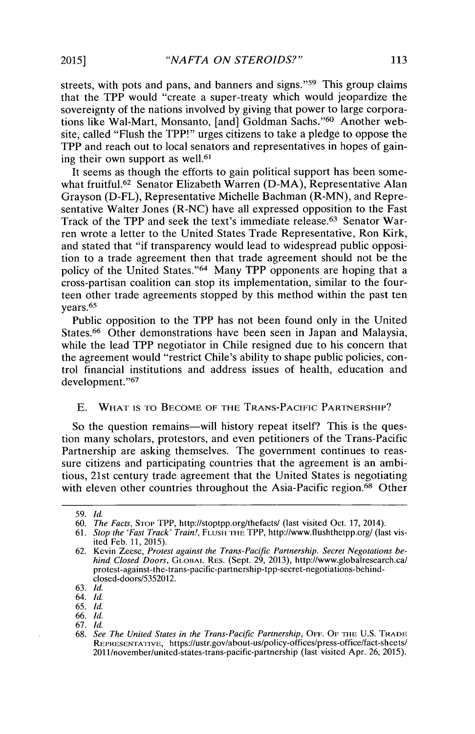streets, with pots and pans, and banners and signs."<sup>59</sup> This group claims that the TPP would "create a super-treaty which would jeopardize the sovereignty of the nations involved by giving that power to large corporations like Wal-Mart, Monsanto, [and] Goldman Sachs."<sup>60</sup> Another website, called "Flush the TPP!" urges citizens to take a pledge to oppose the TPP and reach out to local senators and representatives in hopes of gaining their own support as well.<sup>61</sup>

It seems as though the efforts to gain political support has been somewhat fruitful.<sup>62</sup> Senator Elizabeth Warren (D-MA), Representative Alan Grayson (D-FL), Representative Michelle Bachman (R-MN), and Representative Walter Jones (R-NC) have all expressed opposition to the Fast Track of the TPP and seek the text's immediate release.63 Senator Warren wrote a letter to the United States Trade Representative, Ron Kirk, and stated that "if transparency would lead to widespread public opposition to a trade agreement then that trade agreement should not be the policy of the United States."<sup>64</sup> Many TPP opponents are hoping that a cross-partisan coalition can stop its implementation, similar to the fourteen other trade agreements stopped by this method within the past ten years.<sup>65</sup>

Public opposition to the TPP has not been found only in the United States.<sup>66</sup> Other demonstrations have been seen in Japan and Malaysia, while the lead TPP negotiator in Chile resigned due to his concern that the agreement would "restrict Chile's ability to shape public policies, control financial institutions and address issues of health, education and development."<sup>67</sup>

## E. WHAT **IS** TO BECOME OF THE **TRANS-PACIFIC** PARTNERSHIP?

So the question remains—will history repeat itself? This is the question many scholars, protestors, and even petitioners of the Trans-Pacific Partnership are asking themselves. The government continues to reassure citizens and participating countries that the agreement is an ambitious, 21st century trade agreement that the United States is negotiating with eleven other countries throughout the Asia-Pacific region.<sup>68</sup> Other

<sup>59.</sup> *Id.*

<sup>60.</sup> *The Facts*, Stop TPP, http://stoptpp.org/thefacts/ (last visited Oct. 17, 2014).

<sup>61.</sup> *Stop the 'Fast Track' Train!,* **FLUSH I THE** TPP, http://www.flushthetpp.org/ (last visited Feb. **11,** 2015).

<sup>62.</sup> Kevin Zeese, *Protest against the Trans-Pacific Partnership. Secret Negotations behind Closed Doors, GLOBAL RES. (Sept. 29, 2013), http://www.globalresearch.ca/* protest-against-the-trans-pacific-partnership-tpp-secret-negotiations-behindclosed-doors/5352012.

<sup>63.</sup> *Id.*

<sup>64.</sup> *Id.*

<sup>65.</sup> *Id.*

<sup>66.</sup> *Id.*

<sup>67.</sup> *Id.*

<sup>68.</sup> *See The United States in the Trans-Pacific Partnership,* OFF. OF -1iL **U.S. TRADE** REPRESENTATIVE, https://ustr.gov/about-us/policy-offices/press-office/fact-sheets/ 2011/november/united-states-trans-pacific-partnership (last visited Apr. 26, 2015).